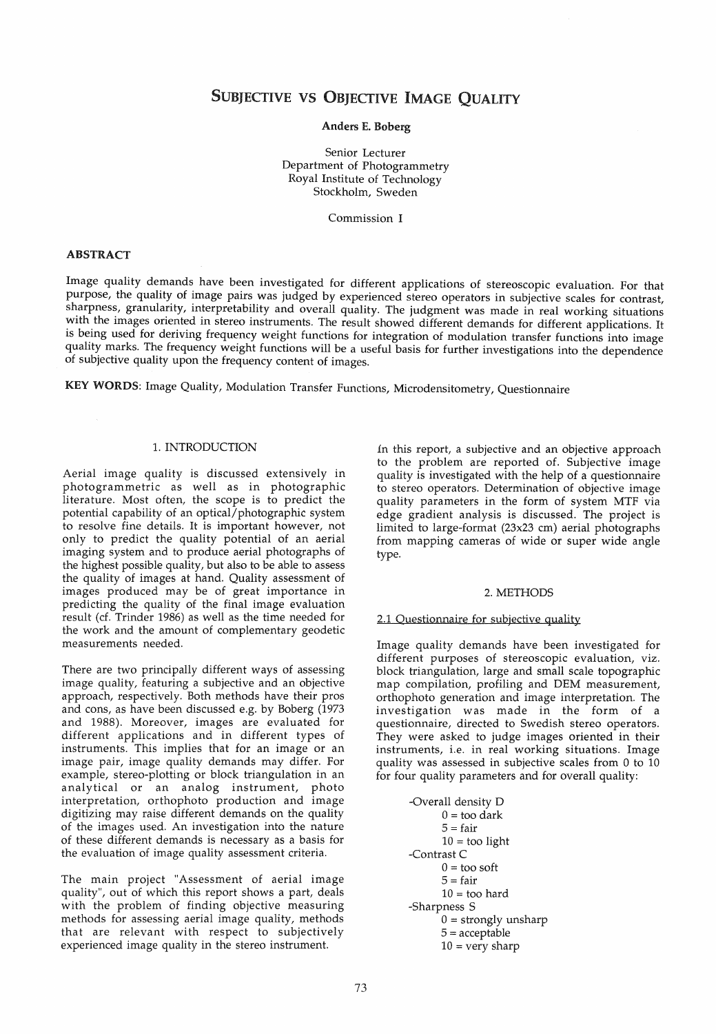# SUBJECTIVE VS OBJECTIVE IMAGE QUALITY

### Anders E. Boberg

Senior Lecturer Department of Photogrammetry Royal Institute of Technology Stockholm, Sweden

Commission I

## ABSTRACT

Image quality demands have been investigated for different applications of stereoscopic evaluation. For that purpose, the quality of image pairs was judged by experienced stereo operators in subjective scales for contrast, sharpness, granularity, interpretability and overall quality. The judgment was made in real working situations with the images oriented in stereo instruments. The result showed different demands for different applications. It is being used for deriving frequency weight functions for integration of modulation transfer functions into image quality marks. The frequency weight functions will be a useful basis for further investigations into the dependence of subjective quality upon the frequency content of images.

KEY WORDS: Image Quality, Modulation Transfer Functions, Microdensitometry, Questionnaire

## 1. INTRODUCTION

Aerial image quality is discussed extensively in photogrammetric as weIl as in photographic literature. Most often, the scope is to predict the potential capability of an optical/photographic system to resolve fine details. It is important however, not only to predict the quality potential of an aerial imaging system and to produce aerial photographs of the highest possible quality, but also to be able to assess the quality of images at hand. Quality assessment of images produced may be of great importance in predicting the quality of the final image evaluation result (cf. Trinder 1986) as weIl as the time needed for the work and the amount of complementary geodetic measurements needed.

There are two principally different ways of assessing image quality, featuring a subjective and an objective approach, respectively. Both methods have their pros and cons, as have been discussed e.g. by Boberg (1973 and 1988). Moreover, images are evaluated for different applications and in different types of instruments. This implies that for an image or an image pair, image quality demands may differ. For example, stereo-plotting or block triangulation in an analytical or an analog instrument, photo interpretation, orthophoto production and image digitizing may raise different demands on the quality of the images used. An investigation into the nature of these different demands is necessary as a basis for the evaluation of image quality assessment criteria.

The main project "Assessment of aerial image quality", out of which this report shows a part, deals with the problem of finding objective measuring methods for assessing aerial image quality, methods that are relevant with respect to subjectively experieneed image quality in the stereo instrument.

in this report, a subjeetive and an objeetive approach to the problem are reported of. Subjective image quality is investigated with the help of a questionnaire to stereo operators. Determination of objective image quality parameters in the form of system MTF via edge gradient analysis is diseussed. The projeet is limited to large-format (23x23 em) aerial photographs from mapping eameras of wide or super wide angle type.

#### 2. METHODS

#### 2.1 Ouestionnaire for subjective quality

Image quality demands have been investigated for different purposes of stereoscopic evaluation, viz. block triangulation, large and small scale topographie map compilation, profiling and DEM measurement, orthophoto generation and image interpretation. The investigation was made in the form of a questionnaire, directed to Swedish stereo operators. They were asked to judge images oriented in their instruments, i.e. in real working situations. Image quality was assessed in subjective scales from 0 to 10 for four quality parameters and for overall quality:

> -Overall density D  $0 =$  too dark  $5 = \text{fair}$  $10 =$  too light -Contrast C  $0 =$  too soft  $5 = \text{fair}$  $10 =$  too hard -Sharpness S  $0 =$  strongly unsharp 5 = acceptable  $10 = \text{very sharp}$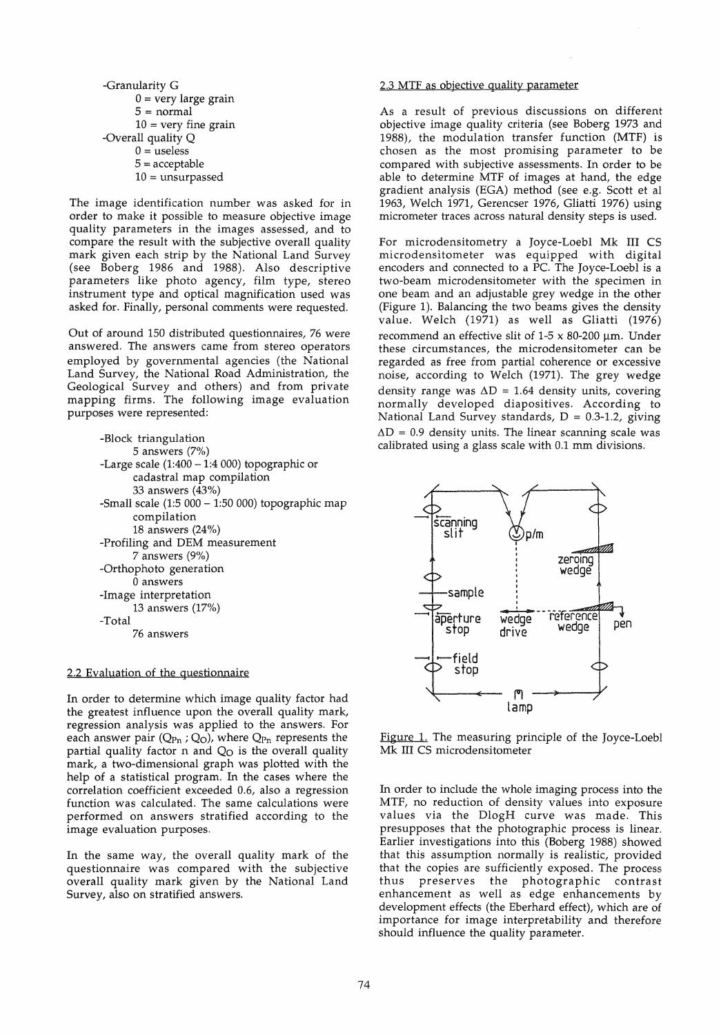\n- Granularity G
\n- $$
0 = \text{very large grain}
$$
\n- $5 = \text{normal}$
\n- $10 = \text{very fine grain}$
\n- Overall quality Q
\n- $0 = \text{useless}$
\n- $5 = \text{acceptable}$
\n- $10 = \text{unsupposed}$
\n

The image identifieation number was asked for in order to make it possible to measure objective image quality parameters in the images assessed, and to compare the result with the subjective overall quality mark given eaeh strip by the National Land Survey (see Boberg 1986 and 1988). Also deseriptive parameters like photo ageney, film type, stereo instrument type and optieal magnification used was asked for. Finally, personal eomments were requested.

Out of around 150 distributed questionnaires, 76 were answered. The answers eame from stereo operators employed by governmental agencies (the National Land Survey, the National Road Administration, the Geologieal Survey and others) and from private mapping firms. The following image evaluation purposes were represented:

| -Block triangulation                                  |
|-------------------------------------------------------|
| 5 answers $(7%)$                                      |
| -Large scale $(1:400 - 1:4 000)$ topographic or       |
| cadastral map compilation                             |
| 33 answers (43%)                                      |
| -Small scale $(1:5\ 000 - 1:50\ 000)$ topographic map |
| compilation                                           |
| 18 answers $(24%)$                                    |
| -Profiling and DEM measurement                        |
| 7 answers (9%)                                        |
| -Orthophoto generation                                |
| 0 answers                                             |
| -Image interpretation                                 |
| 13 answers $(17%)$                                    |
| -Total                                                |
| 76 answers                                            |

#### 2.2 Evaluation of the questionnaire

In order to determine which image quality factor had the greatest influence upon the overall quality mark, regression analysis was applied to the answers. For each answer pair  $(Q_{Pn}; Q_O)$ , where  $Q_{Pn}$  represents the partial quality factor  $n$  and  $Q<sub>O</sub>$  is the overall quality mark, a two-dimensional graph was plotted with the help of a statistical program. In the cases where the correlation coefficient exceeded 0.6, also a regression function was calculated. The same calculations were performed on answers stratified according to the image evaluation purposes.

In the same way, the overall quality mark of the questionnaire was compared with the subjective overall quality mark given by the National Land Survey, also on stratified answers.

# 2.3 MTF as objective quality parameter

As a result of previous discussions on different objective image quality criteria (see Boberg 1973 and 1988), the modulation transfer function (MTF) is chosen as the most promising parameter to be compared with subjective assessments. In order to be able to determine MTF of images at hand, the edge gradient analysis (EGA) method (see e.g. Scott et al 1963, Welch 1971, Gerencser 1976, Gliatti 1976) using micrometer traees across natural density steps is used.

For microdensitometry a Joyce-Loebl Mk III CS microdensitometer was equipped with digital encoders and connected to a PC. The Joyce-Loebl is a two-beam microdensitometer with the specimen in one beam and an adjustable grey wedge in the other (Figure 1). Balancing the two beams gives the density value. Welch (1971) as weIl as Gliatti (1976) recommend an effective slit of  $1-5 \times 80-200$  µm. Under these circumstances, the microdensitometer can be regarded as free from partial coherence or excessive noise, according to Welch (1971). The grey wedge density range was  $\Delta D = 1.64$  density units, covering normally developed diapositives. Aceording to National Land Survey standards,  $D = 0.3 - 1.2$ , giving  $\Delta D = 0.9$  density units. The linear scanning scale was calibrated using a glass scale with 0.1 mm divisions.



Figure 1. The measuring principle of the Joyce-Loebl Mk III CS microdensitometer

In order to include the whole imaging process into the MTF, no reduction of density values into exposure values via the DlogH curve was made. This presupposes that the photographic process is linear. Earlier investigations into this (Boberg 1988) showed that this assumption normally is realistic, provided that the copies are sufficiently exposed. The process thus preserves the photographic contrast enhancement as well as edge enhancements by development effects (the Eberhard effect), which are of importance for image interpretability and therefore should influence the quality parameter.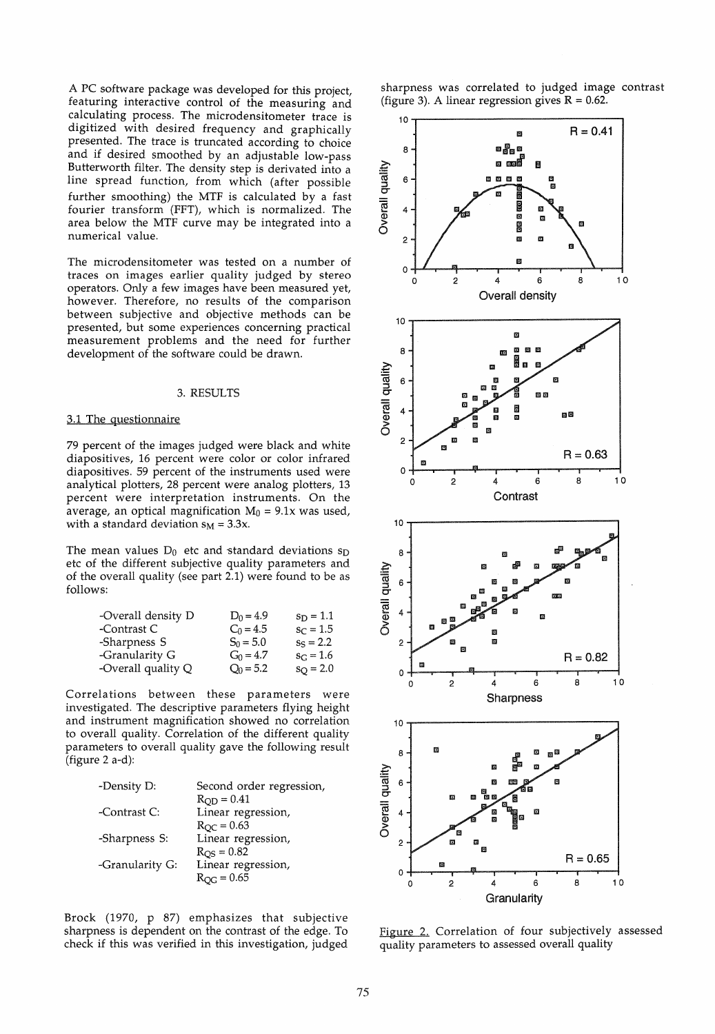A PC software package was developed for this project, featuring interactive control of the measuring and calculating process. The microdensitometer trace is digitized with desired frequency and graphically presented. The trace is truncated according to choice and if desired smoothed by an adjustable low-pass Butterworth filter. The density step is derivated into a line spread function, from which (after possible further smoothing) the MTF is calculated by a fast fourier transform (FFT), which is normalized. The area below the MTF curve may be integrated into a numerical value.

The microdensitometer was tested on a number of traces on images earlier quality judged by stereo operators. Only a few images have been measured yet, however. Therefore, no results of the comparison between subjective and objective methods can be presented, but some experiences concerning practical measurement problems and the need for further development of the software could be drawn.

#### 3. RESULTS

#### 3.1 The questionnaire

79 percent of the images judged were black and white diapositives, 16 percent were color or color infrared diapositives. 59 percent of the instruments used were analytical plotters, 28 percent were analog plotters, 13 percent were interpretation instruments. On the average, an optical magnification  $M_0 = 9.1x$  was used, with a standard deviation  $s_M = 3.3x$ .

The mean values  $D_0$  etc and standard deviations  $s_D$ etc of the different subjective quality parameters and of the overall quality (see part 2.1) were found to be as follows:

| -Overall density D | $D_0 = 4.9$ | $s_D = 1.1$       |
|--------------------|-------------|-------------------|
| -Contrast C        | $C_0 = 4.5$ | $s_C = 1.5$       |
| -Sharpness S       | $S_0 = 5.0$ | $s_S = 2.2$       |
| -Granularity G     | $G_0 = 4.7$ | $s_C = 1.6$       |
| -Overall quality Q | $Q_0 = 5.2$ | $s_{\rm O} = 2.0$ |

Correlations between these parameters were investigated. The descriptive parameters flying height and instrument magnification showed no correlation to overall quality. Correlation of the different quality parameters to overall quality gave the following result (figure 2 a-d):

| -Density D:     | Second order regression, |
|-----------------|--------------------------|
|                 | $R_{OD} = 0.41$          |
| -Contrast C:    | Linear regression,       |
|                 | $R_{OC} = 0.63$          |
| -Sharpness S:   | Linear regression,       |
|                 | $R_{\rm QS} = 0.82$      |
| -Granularity G: | Linear regression,       |
|                 | $R_{OG} = 0.65$          |
|                 |                          |

Brock (1970, p 87) emphasizes that subjective sharpness is dependent on the contrast of the edge. To check if this was verified in this investigation, judged sharpness was correlated to judged image contrast (figure 3). A linear regression gives  $R = 0.62$ .



Figure 2. Correlation of four subjectively assessed quality parameters to assessed overall quality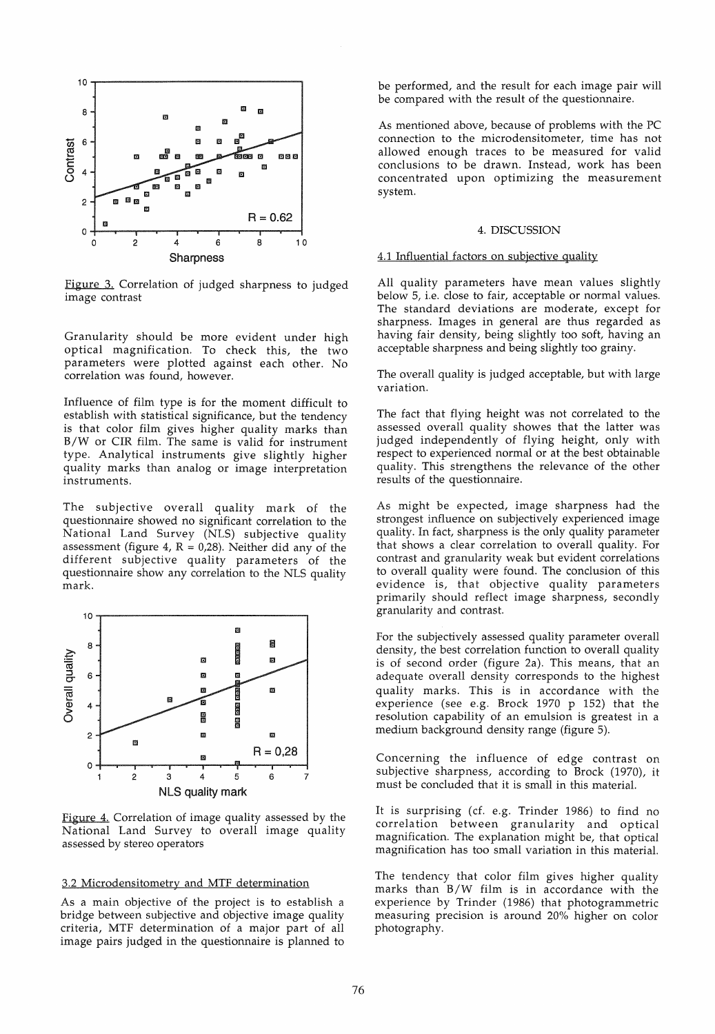

Figure 3. Correlation of judged sharpness to judged image contrast

Granularity should be more evident under high optical magnification. To check this, the two parameters were plotted against each other. No correlation was found, however.

Influence of film type is for the moment difficult to establish with statistical significance, but the tendency is that color film gives higher quality marks than B/W or CIR film. The same is valid for instrument type. Analytical instruments give slightly higher quality marks than analog or image interpretation instruments.

The subjective overall quality mark of the questionnaire showed no significant correlation to the National Land Survey (NLS) subjective quality assessment (figure 4,  $R = 0.28$ ). Neither did any of the different subjective quality parameters of the questionnaire show any correlation to the NLS quality mark.



Figure 4. Correlation of image quality assessed by the National Land Survey to overall image quality assessed by stereo operators

## 3.2 Microdensitometry and MTF determination

As a main objective of the project is to establish a bridge between subjective and objective image quality criteria, MTF determination of a major part of all image pairs judged in the questionnaire is planned to be performed, and the result for each image pair will be compared with the result of the questionnaire.

As mentioned above, because of problems with the PC connection to the microdensitometer, time has not allowed enough traces to be measured for valid condusions to be drawn. Instead, work has been concentrated upon optimizing the measurement system.

#### 4. DISCUSSION

## 4.1 Influential factors on subjective quality

All quality parameters have mean values slightly below 5, i.e. close to fair, acceptable or normal values. The standard deviations are moderate, except for sharpness. Images in general are thus regarded as having fair density, being slightly too soft, having an acceptable sharpness and being slightly too grainy.

The overall quality is judged acceptable, but with large variation.

The fact that flying height was not correlated to the assessed overall quality showes that the latter was judged independently of flying height, only with respect to experienced normal or at the best obtainable quality. This strengthens the relevance of the other results of the questionnaire.

As might be expected, image sharpness had the strongest influence on subjectively experienced image quality. In fact, sharpness is the only quality parameter that shows a dear correlation to overall quality. For contrast and granularity weak but evident correlations to overall quality were found. The condusion of this evidence is, that objective quality parameters primarily should reflect image sharpness, secondly granularity and contrast.

For the subjectively assessed quality parameter overall density, the best correlation function to overall quality is of second order (figure 2a). This means, that an adequate overall density corresponds to the highest quality marks. This is in accordance with the experience (see e.g. Brock 1970 p 152) that the resolution capability of an emulsion is greatest in a medium background density range (figure 5).

Concerning the influence of edge contrast on subjective sharpness, according to Brock (1970), it must be conduded that it is small in this material.

It is surprising (cf. e.g. Trinder 1986) to find no correlation between granularity and optical magnification. The explanation might be, that optical magnification has too small variation in this material.

The tendency that color film gives higher quality marks than B/W film is in accordance with the experience by Trinder (1986) that photogrammetric measuring precision is around 20% higher on color photography.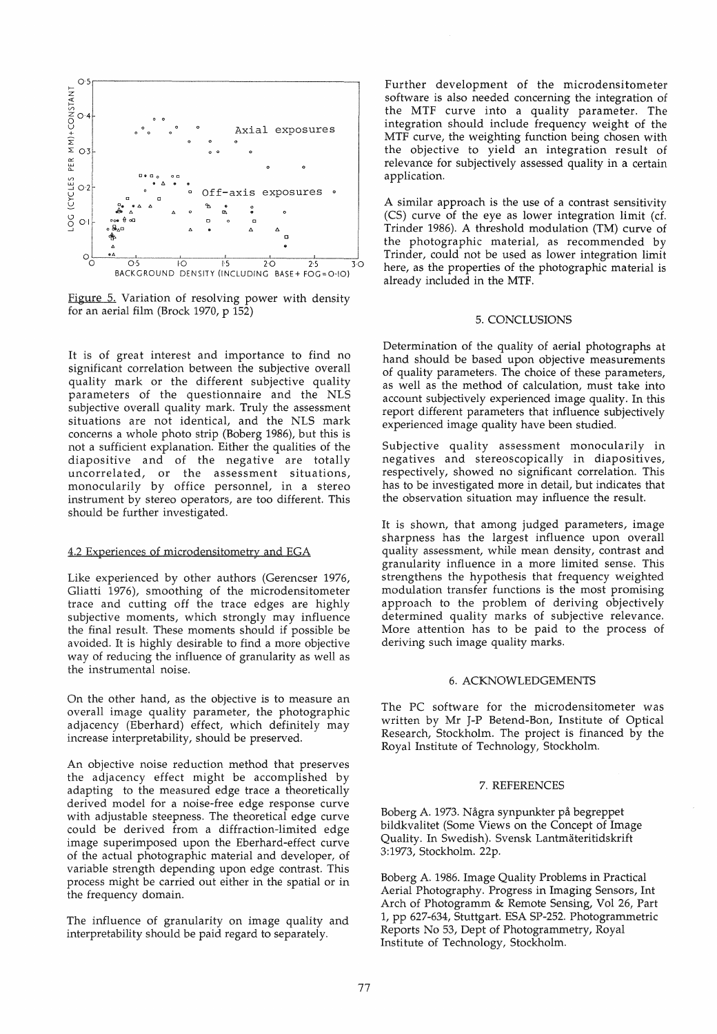

Figure 5. Variation of resolving power with density for an aerial film (Brock 1970, p 152)

It is of great interest and importance to find no significant correlation between the subjective overall quality mark or the different subjective quality parameters of the questionnaire and the NLS subjective overall quality mark. Truly the assessment situations are not identical, and the NLS mark concerns a whole photo strip (Boberg 1986), but this is not a sufficient explanation. Either the qualities of the diapositive and of the negative are totally uncorrelated, or the assessment situations, monocularily by office personnel, in a stereo instrument by stereo operators, are too different. This should be further investigated.

## 4.2 Experiences of microdensitometry and EGA

Like experienced by other authors (Gerencser 1976, Gliatti 1976), smoothing of the microdensitometer trace and cutting off the trace edges are highly subjective moments, which strongly may influence the final result. These moments should if possible be avoided. It is highly desirable to find a more objective way of reducing the influence of granularity as well as the instrumental noise.

On the other hand, as the objective is to measure an overall image quality parameter, the photographic adjacency (Eberhard) effect, which definitely may increase interpretability, should be preserved.

An objective noise reduction method that preserves the adjacency effect might be accomplished by adapting to the measured edge trace a theoretically derived model for a noise-free edge response curve with adjustable steepness. The theoretical edge curve could be derived from a diffraction-limited edge image superimposed upon the Eberhard-effect curve of the actual photographic material and developer, of variable strength depending upon edge contrast. This process might be carried out either in the spatial or in the frequency domain.

The influence of granularity on image quality and interpretability should be paid regard to separately.

Further development of the microdensitometer software is also needed concerning the integration of the MTF curve into a quality parameter. The integration should include frequency weight of the MTF curve, the weighting function being chosen with the objective to yield an integration result of relevance for subjectively assessed quality in a certain application.

A similar approach is the use of a contrast sensitivity (CS) curve of the eye as lower integration limit (cf. Trinder 1986). A threshold modulation (TM) curve of the photographic material, as recommended by Trinder, could not be used as lower integration limit here, as the properties of the photographic material is already included in the MTF.

#### 5. CONCLUSIONS

Determination of the quality of aerial photographs at hand should be based upon objective measurements of quality parameters. The choice of these parameters, as well as the method of calculation, must take into account subjectively experienced image quality. In this report different parameters that influence subjectively experienced image quality have been studied.

Subjective quality assessment monocularily in negatives and stereoscopically in diapositives, respectively, showed no significant correlation. This has to be investigated more in detail, but indicates that the observation situation may influence the result.

It is shown, that among judged parameters, image sharpness has the largest influence upon overall quality assessment, while mean density, contrast and granularity influence in a more limited sense. This strengthens the hypothesis that frequency weighted modulation transfer functions is the most promising approach to the problem of deriving objectively determined quality marks of subjective relevance. More attention has to be paid to the process of deriving such image quality marks.

#### 6. ACKNOWLEDGEMENTS

The PC software for the microdensitometer was written by Mr J-p Betend-Bon, Institute of Optical Research, Stockholm. The project is financed by the Royal Institute of Technology, Stockholm.

## 7. REFERENCES

Boberg A. 1973. Några synpunkter på begreppet bildkvalitet (Some Views on the Concept of Image Quality. In Swedish). Svensk Lantmäteritidskrift 3:1973, Stockholm. 22p.

Boberg A. 1986. Image Quality Problems in Practical Aerial Photography. Progress in Imaging Sensors, Int Arch of Photogramm & Remote Sensing, Vol 26, Part 1, pp 627-634, Stuttgart. ESA SP-252. Photogrammetric Reports No 53, Dept of Photogrammetry, Royal Institute of Technology, Stockholm.